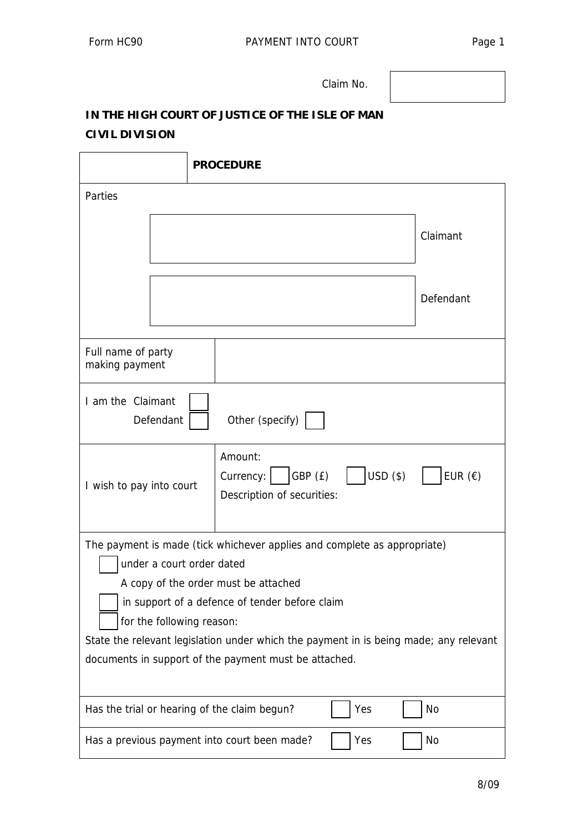Claim No.

## **IN THE HIGH COURT OF JUSTICE OF THE ISLE OF MAN CIVIL DIVISION**

 $\overline{\phantom{a}}$ 

|                                                                                                                                                                                                                                                                                                                                                                                |  | <b>PROCEDURE</b>                                                                                |  |  |  |  |
|--------------------------------------------------------------------------------------------------------------------------------------------------------------------------------------------------------------------------------------------------------------------------------------------------------------------------------------------------------------------------------|--|-------------------------------------------------------------------------------------------------|--|--|--|--|
| Parties                                                                                                                                                                                                                                                                                                                                                                        |  |                                                                                                 |  |  |  |  |
|                                                                                                                                                                                                                                                                                                                                                                                |  | Claimant                                                                                        |  |  |  |  |
|                                                                                                                                                                                                                                                                                                                                                                                |  | Defendant                                                                                       |  |  |  |  |
| Full name of party<br>making payment                                                                                                                                                                                                                                                                                                                                           |  |                                                                                                 |  |  |  |  |
| I am the Claimant<br>Other (specify)<br>Defendant                                                                                                                                                                                                                                                                                                                              |  |                                                                                                 |  |  |  |  |
| I wish to pay into court                                                                                                                                                                                                                                                                                                                                                       |  | Amount:<br>$USD($ \$)<br>EUR $(\epsilon)$<br>GBP (£)<br>Currency:<br>Description of securities: |  |  |  |  |
| The payment is made (tick whichever applies and complete as appropriate)<br>under a court order dated<br>A copy of the order must be attached<br>in support of a defence of tender before claim<br>for the following reason:<br>State the relevant legislation under which the payment in is being made; any relevant<br>documents in support of the payment must be attached. |  |                                                                                                 |  |  |  |  |
| Yes<br><b>No</b><br>Has the trial or hearing of the claim begun?                                                                                                                                                                                                                                                                                                               |  |                                                                                                 |  |  |  |  |
| Has a previous payment into court been made?<br>Yes<br>No                                                                                                                                                                                                                                                                                                                      |  |                                                                                                 |  |  |  |  |